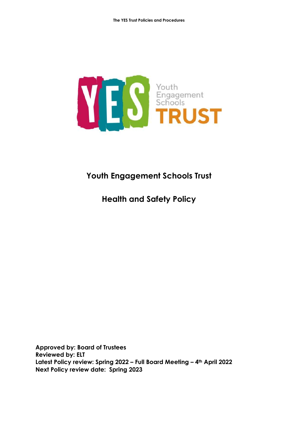

## **Youth Engagement Schools Trust**

**Health and Safety Policy**

**Approved by: Board of Trustees Reviewed by: ELT Latest Policy review: Spring 2022 – Full Board Meeting – 4th April 2022 Next Policy review date: Spring 2023**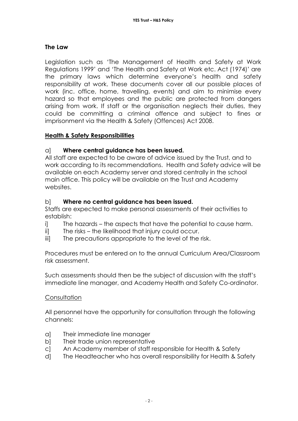#### **The Law**

Legislation such as 'The Management of Health and Safety at Work Regulations 1999' and 'The Health and Safety at Work etc. Act (1974)' are the primary laws which determine everyone's health and safety responsibility at work. These documents cover all our possible places of work (inc. office, home, travelling, events) and aim to minimise every hazard so that employees and the public are protected from dangers arising from work. If staff or the organisation neglects their duties, they could be committing a criminal offence and subject to fines or imprisonment via the Health & Safety (Offences) Act 2008.

#### **Health & Safety Responsibilities**

#### a] **Where central guidance has been issued.**

All staff are expected to be aware of advice issued by the Trust, and to work according to its recommendations. Health and Safety advice will be available on each Academy server and stored centrally in the school main office. This policy will be available on the Trust and Academy websites.

#### b] **Where no central guidance has been issued.**

Staffs are expected to make personal assessments of their activities to establish:

- i] The hazards the aspects that have the potential to cause harm.
- ii] The risks the likelihood that injury could occur.
- iii] The precautions appropriate to the level of the risk.

Procedures must be entered on to the annual Curriculum Area/Classroom risk assessment.

Such assessments should then be the subject of discussion with the staff's immediate line manager, and Academy Health and Safety Co-ordinator.

#### **Consultation**

All personnel have the opportunity for consultation through the following channels:

- a] Their immediate line manager
- b] Their trade union representative
- c] An Academy member of staff responsible for Health & Safety
- d] The Headteacher who has overall responsibility for Health & Safety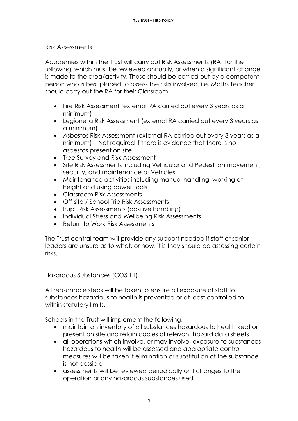#### Risk Assessments

Academies within the Trust will carry out Risk Assessments (RA) for the following, which must be reviewed annually, or when a significant change is made to the area/activity. These should be carried out by a competent person who is best placed to assess the risks involved. i.e. Maths Teacher should carry out the RA for their Classroom.

- Fire Risk Assessment (external RA carried out every 3 years as a minimum)
- Legionella Risk Assessment (external RA carried out every 3 years as a minimum)
- Asbestos Risk Assessment (external RA carried out every 3 years as a minimum) – Not required if there is evidence that there is no asbestos present on site
- Tree Survey and Risk Assessment
- Site Risk Assessments including Vehicular and Pedestrian movement, security, and maintenance of Vehicles
- Maintenance activities including manual handling, working at height and using power tools
- Classroom Risk Assessments
- Off-site / School Trip Risk Assessments
- Pupil Risk Assessments (positive handling)
- Individual Stress and Wellbeing Risk Assessments
- Return to Work Risk Assessments

The Trust central team will provide any support needed if staff or senior leaders are unsure as to what, or how, it is they should be assessing certain risks.

#### Hazardous Substances (COSHH)

All reasonable steps will be taken to ensure all exposure of staff to substances hazardous to health is prevented or at least controlled to within statutory limits.

Schools in the Trust will implement the following:

- maintain an inventory of all substances hazardous to health kept or present on site and retain copies of relevant hazard data sheets
- all operations which involve, or may involve, exposure to substances hazardous to health will be assessed and appropriate control measures will be taken if elimination or substitution of the substance is not possible
- assessments will be reviewed periodically or if changes to the operation or any hazardous substances used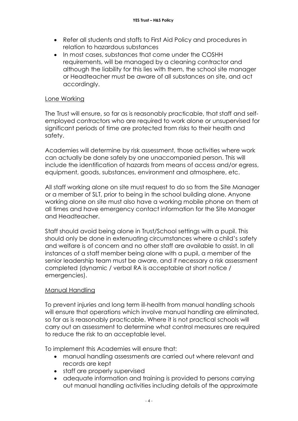- Refer all students and staffs to First Aid Policy and procedures in relation to hazardous substances
- In most cases, substances that come under the COSHH requirements, will be managed by a cleaning contractor and although the liability for this lies with them, the school site manager or Headteacher must be aware of all substances on site, and act accordingly.

#### Lone Working

The Trust will ensure, so far as is reasonably practicable, that staff and selfemployed contractors who are required to work alone or unsupervised for significant periods of time are protected from risks to their health and safety.

Academies will determine by risk assessment, those activities where work can actually be done safely by one unaccompanied person. This will include the identification of hazards from means of access and/or egress, equipment, goods, substances, environment and atmosphere, etc.

All staff working alone on site must request to do so from the Site Manager or a member of SLT, prior to being in the school building alone. Anyone working alone on site must also have a working mobile phone on them at all times and have emergency contact information for the Site Manager and Headteacher.

Staff should avoid being alone in Trust/School settings with a pupil. This should only be done in extenuating circumstances where a child's safety and welfare is of concern and no other staff are available to assist. In all instances of a staff member being alone with a pupil, a member of the senior leadership team must be aware, and if necessary a risk assessment completed (dynamic / verbal RA is acceptable at short notice / emergencies).

#### Manual Handling

To prevent injuries and long term ill-health from manual handling schools will ensure that operations which involve manual handling are eliminated, so far as is reasonably practicable. Where it is not practical schools will carry out an assessment to determine what control measures are required to reduce the risk to an acceptable level.

To implement this Academies will ensure that:

- manual handling assessments are carried out where relevant and records are kept
- staff are properly supervised
- adequate information and training is provided to persons carrying out manual handling activities including details of the approximate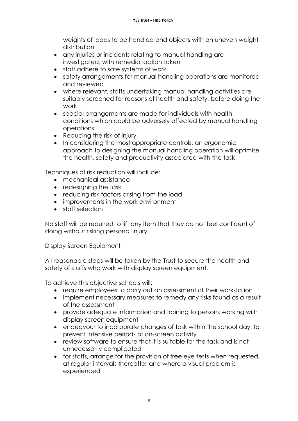weights of loads to be handled and objects with an uneven weight distribution

- any injuries or incidents relating to manual handling are investigated, with remedial action taken
- staff adhere to safe systems of work
- safety arrangements for manual handling operations are monitored and reviewed
- where relevant, staffs undertaking manual handling activities are suitably screened for reasons of health and safety, before doing the work
- special arrangements are made for individuals with health conditions which could be adversely affected by manual handling operations
- Reducing the risk of injury
- In considering the most appropriate controls, an ergonomic approach to designing the manual handling operation will optimise the health, safety and productivity associated with the task

Techniques of risk reduction will include:

- mechanical assistance
- redesigning the task
- reducing risk factors arising from the load
- improvements in the work environment
- staff selection

No staff will be required to lift any item that they do not feel confident of doing without risking personal injury.

#### Display Screen Equipment

All reasonable steps will be taken by the Trust to secure the health and safety of staffs who work with display screen equipment.

To achieve this objective schools will:

- require employees to carry out an assessment of their workstation
- implement necessary measures to remedy any risks found as a result of the assessment
- provide adequate information and training to persons working with display screen equipment
- endeavour to incorporate changes of task within the school day, to prevent intensive periods of on-screen activity
- review software to ensure that it is suitable for the task and is not unnecessarily complicated
- for staffs, arrange for the provision of free eye tests when requested, at regular intervals thereafter and where a visual problem is experienced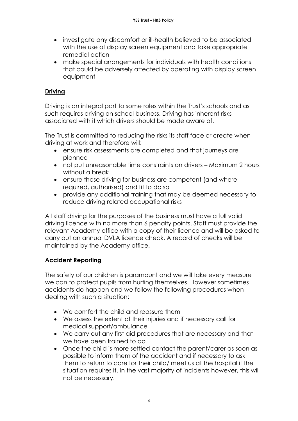- investigate any discomfort or ill-health believed to be associated with the use of display screen equipment and take appropriate remedial action
- make special arrangements for individuals with health conditions that could be adversely affected by operating with display screen equipment

#### **Driving**

Driving is an integral part to some roles within the Trust's schools and as such requires driving on school business. Driving has inherent risks associated with it which drivers should be made aware of.

The Trust is committed to reducing the risks its staff face or create when driving at work and therefore will:

- ensure risk assessments are completed and that journeys are planned
- not put unreasonable time constraints on drivers Maximum 2 hours without a break
- ensure those driving for business are competent (and where required, authorised) and fit to do so
- provide any additional training that may be deemed necessary to reduce driving related occupational risks

All staff driving for the purposes of the business must have a full valid driving licence with no more than 6 penalty points. Staff must provide the relevant Academy office with a copy of their licence and will be asked to carry out an annual DVLA licence check. A record of checks will be maintained by the Academy office.

#### **Accident Reporting**

The safety of our children is paramount and we will take every measure we can to protect pupils from hurting themselves. However sometimes accidents do happen and we follow the following procedures when dealing with such a situation:

- We comfort the child and reassure them
- We assess the extent of their injuries and if necessary call for medical support/ambulance
- We carry out any first aid procedures that are necessary and that we have been trained to do
- Once the child is more settled contact the parent/carer as soon as possible to inform them of the accident and if necessary to ask them to return to care for their child/ meet us at the hospital if the situation requires it. In the vast majority of incidents however, this will not be necessary.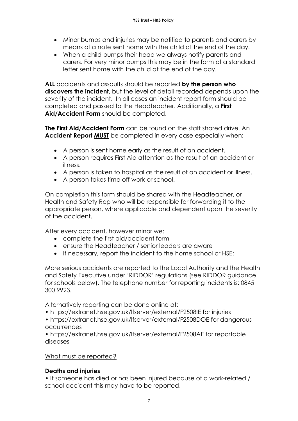- Minor bumps and injuries may be notified to parents and carers by means of a note sent home with the child at the end of the day.
- When a child bumps their head we always notify parents and carers. For very minor bumps this may be in the form of a standard letter sent home with the child at the end of the day.

**ALL** accidents and assaults should be reported **by the person who discovers the incident**, but the level of detail recorded depends upon the severity of the incident. In all cases an incident report form should be completed and passed to the Headteacher. Additionally, a **First Aid/Accident Form** should be completed.

**The First Aid/Accident Form** can be found on the staff shared drive. An **Accident Report MUST** be completed in every case especially when:

- A person is sent home early as the result of an accident.
- A person requires First Aid attention as the result of an accident or illness.
- A person is taken to hospital as the result of an accident or illness.
- A person takes time off work or school.

On completion this form should be shared with the Headteacher, or Health and Safety Rep who will be responsible for forwarding it to the appropriate person, where applicable and dependent upon the severity of the accident.

After every accident, however minor we:

- complete the first aid/accident form
- ensure the Headteacher / senior leaders are aware
- If necessary, report the incident to the home school or HSE:

More serious accidents are reported to the Local Authority and the Health and Safety Executive under 'RIDDOR' regulations (see RIDDOR guidance for schools below). The telephone number for reporting incidents is: 0845 300 9923.

Alternatively reporting can be done online at:

• https://extranet.hse.gov.uk/lfserver/external/F2508IE for injuries

• https://extranet.hse.gov.uk/lfserver/external/F2508DOE for dangerous occurrences

• https://extranet.hse.gov.uk/lfserver/external/F2508AE for reportable diseases

#### What must be reported?

#### **Deaths and injuries**

• If someone has died or has been injured because of a work-related / school accident this may have to be reported.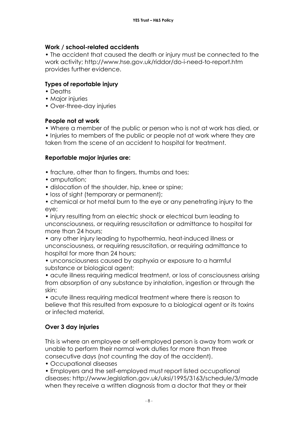#### **Work / school-related accidents**

• The accident that caused the death or injury must be connected to the work activity; http://www.hse.gov.uk/riddor/do-i-need-to-report.htm provides further evidence.

#### **Types of reportable injury**

- Deaths
- Major injuries
- Over-three-day injuries

#### **People not at work**

• Where a member of the public or person who is not at work has died, or

• Injuries to members of the public or people not at work where they are taken from the scene of an accident to hospital for treatment.

#### **Reportable major injuries are:**

- fracture, other than to fingers, thumbs and toes;
- amputation;
- dislocation of the shoulder, hip, knee or spine;
- loss of sight (temporary or permanent);
- chemical or hot metal burn to the eye or any penetrating injury to the eye;

• injury resulting from an electric shock or electrical burn leading to unconsciousness, or requiring resuscitation or admittance to hospital for more than 24 hours;

• any other injury leading to hypothermia, heat-induced illness or unconsciousness, or requiring resuscitation, or requiring admittance to hospital for more than 24 hours;

• unconsciousness caused by asphyxia or exposure to a harmful substance or biological agent;

• acute illness requiring medical treatment, or loss of consciousness arising from absorption of any substance by inhalation, ingestion or through the skin;

• acute illness requiring medical treatment where there is reason to believe that this resulted from exposure to a biological agent or its toxins or infected material.

### **Over 3 day injuries**

This is where an employee or self-employed person is away from work or unable to perform their normal work duties for more than three consecutive days (not counting the day of the accident).

• Occupational diseases

• Employers and the self-employed must report listed occupational diseases: http://www.legislation.gov.uk/uksi/1995/3163/schedule/3/made when they receive a written diagnosis from a doctor that they or their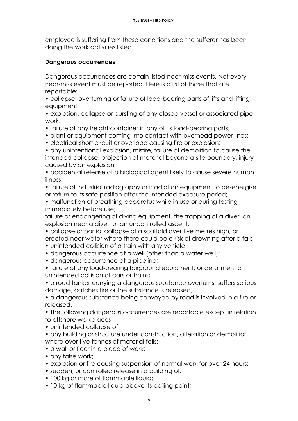employee is suffering from these conditions and the sufferer has been doing the work activities listed.

#### **Dangerous occurrences**

Dangerous occurrences are certain listed near-miss events. Not every near-miss event must be reported. Here is a list of those that are reportable:

• collapse, overturning or failure of load-bearing parts of lifts and lifting equipment;

• explosion, collapse or bursting of any closed vessel or associated pipe work;

- failure of any freight container in any of its load-bearing parts;
- plant or equipment coming into contact with overhead power lines;
- electrical short circuit or overload causing fire or explosion;

• any unintentional explosion, misfire, failure of demolition to cause the intended collapse, projection of material beyond a site boundary, injury caused by an explosion;

• accidental release of a biological agent likely to cause severe human illness;

• failure of industrial radiography or irradiation equipment to de-energise or return to its safe position after the intended exposure period;

• malfunction of breathing apparatus while in use or during testing immediately before use;

failure or endangering of diving equipment, the trapping of a diver, an explosion near a diver, or an uncontrolled ascent;

• collapse or partial collapse of a scaffold over five metres high, or erected near water where there could be a risk of drowning after a fall;

- unintended collision of a train with any vehicle;
- dangerous occurrence at a well (other than a water well);
- dangerous occurrence at a pipeline;

• failure of any load-bearing fairground equipment, or derailment or unintended collision of cars or trains;

• a road tanker carrying a dangerous substance overturns, suffers serious damage, catches fire or the substance is released;

• a dangerous substance being conveyed by road is involved in a fire or released.

• The following dangerous occurrences are reportable except in relation to offshore workplaces:

- unintended collapse of:
- any building or structure under construction, alteration or demolition where over five tonnes of material falls;
- a wall or floor in a place of work;
- any false work;
- explosion or fire causing suspension of normal work for over 24 hours;
- sudden, uncontrolled release in a building of:
- 100 kg or more of flammable liquid;
- 10 kg of flammable liquid above its boiling point;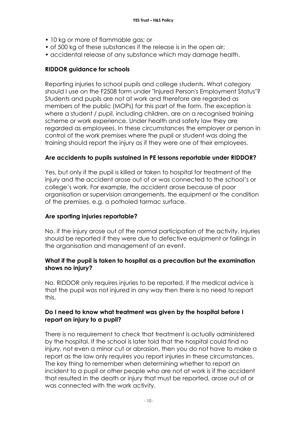- 10 kg or more of flammable gas; or
- of 500 kg of these substances if the release is in the open air;
- accidental release of any substance which may damage health.

#### **RIDDOR guidance for schools**

Reporting injuries to school pupils and college students. What category should I use on the F2508 form under "Injured Person's Employment Status"? Students and pupils are not at work and therefore are regarded as members of the public (MOPs) for this part of the form. The exception is where a student / pupil, including children, are on a recognised training scheme or work experience. Under health and safety law they are regarded as employees. In these circumstances the employer or person in control of the work premises where the pupil or student was doing the training should report the injury as if they were one of their employees.

#### **Are accidents to pupils sustained in PE lessons reportable under RIDDOR?**

Yes, but only if the pupil is killed or taken to hospital for treatment of the injury and the accident arose out of or was connected to the school's or college's work. For example, the accident arose because of poor organisation or supervision arrangements, the equipment or the condition of the premises, e.g. a potholed tarmac surface.

#### **Are sporting injuries reportable?**

No, if the injury arose out of the normal participation of the activity. Injuries should be reported if they were due to defective equipment or failings in the organisation and management of an event.

#### **What if the pupil is taken to hospital as a precaution but the examination shows no injury?**

No. RIDDOR only requires injuries to be reported, if the medical advice is that the pupil was not injured in any way then there is no need to report this.

#### **Do I need to know what treatment was given by the hospital before I report an injury to a pupil?**

There is no requirement to check that treatment is actually administered by the hospital. If the school is later told that the hospital could find no injury, not even a minor cut or abrasion, then you do not have to make a report as the law only requires you report injuries in these circumstances. The key thing to remember when determining whether to report an incident to a pupil or other people who are not at work is if the accident that resulted in the death or injury that must be reported, arose out of or was connected with the work activity.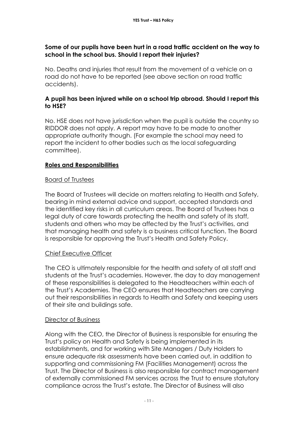#### **Some of our pupils have been hurt in a road traffic accident on the way to school in the school bus. Should I report their injuries?**

No. Deaths and injuries that result from the movement of a vehicle on a road do not have to be reported (see above section on road traffic accidents).

#### **A pupil has been injured while on a school trip abroad. Should I report this to HSE?**

No. HSE does not have jurisdiction when the pupil is outside the country so RIDDOR does not apply. A report may have to be made to another appropriate authority though. (For example the school may need to report the incident to other bodies such as the local safeguarding committee).

#### **Roles and Responsibilities**

#### Board of Trustees

The Board of Trustees will decide on matters relating to Health and Safety, bearing in mind external advice and support, accepted standards and the identified key risks in all curriculum areas. The Board of Trustees has a legal duty of care towards protecting the health and safety of its staff, students and others who may be affected by the Trust's activities, and that managing health and safety is a business critical function. The Board is responsible for approving the Trust's Health and Safety Policy.

#### Chief Executive Officer

The CEO is ultimately responsible for the health and safety of all staff and students at the Trust's academies. However, the day to day management of these responsibilities is delegated to the Headteachers within each of the Trust's Academies. The CEO ensures that Headteachers are carrying out their responsibilities in regards to Health and Safety and keeping users of their site and buildings safe.

#### Director of Business

Along with the CEO, the Director of Business is responsible for ensuring the Trust's policy on Health and Safety is being implemented in its establishments, and for working with Site Managers / Duty Holders to ensure adequate risk assessments have been carried out, in addition to supporting and commissioning FM (Facilities Management) across the Trust. The Director of Business is also responsible for contract management of externally commissioned FM services across the Trust to ensure statutory compliance across the Trust's estate. The Director of Business will also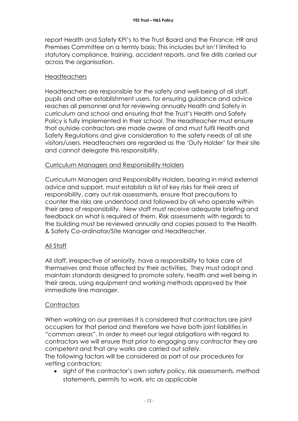report Health and Safety KPI's to the Trust Board and the Finance, HR and Premises Committee on a termly basis; This includes but isn't limited to statutory compliance, training, accident reports, and fire drills carried our across the organisation.

#### **Headteachers**

Headteachers are responsible for the safety and well-being of all staff, pupils and other establishment users, for ensuring guidance and advice reaches all personnel and for reviewing annually Health and Safety in curriculum and school and ensuring that the Trust's Health and Safety Policy is fully implemented in their school. The Headteacher must ensure that outside contractors are made aware of and must fulfil Health and Safety Regulations and give consideration to the safety needs of all site visitors/users. Headteachers are regarded as the 'Duty Holder' for their site and cannot delegate this responsibility.

#### Curriculum Managers and Responsibility Holders

Curriculum Managers and Responsibility Holders, bearing in mind external advice and support, must establish a list of key risks for their area of responsibility, carry out risk assessments, ensure that precautions to counter the risks are understood and followed by all who operate within their area of responsibility. New staff must receive adequate briefing and feedback on what is required of them. Risk assessments with regards to the building must be reviewed annually and copies passed to the Health & Safety Co-ordinator/Site Manager and Headteacher.

#### All Staff

All staff, irrespective of seniority, have a responsibility to take care of themselves and those affected by their activities. They must adopt and maintain standards designed to promote safety, health and well being in their areas, using equipment and working methods approved by their immediate line manager.

#### **Contractors**

When working on our premises it is considered that contractors are joint occupiers for that period and therefore we have both joint liabilities in "common areas". In order to meet our legal obligations with regard to contractors we will ensure that prior to engaging any contractor they are competent and that any works are carried out safely. The following factors will be considered as part of our procedures for vetting contractors:

• sight of the contractor's own safety policy, risk assessments, method statements, permits to work, etc as applicable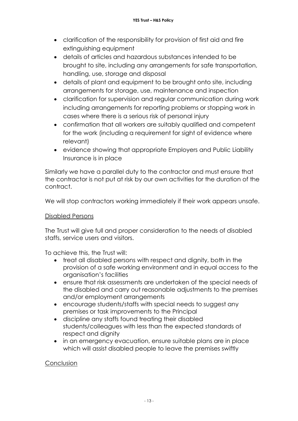- clarification of the responsibility for provision of first aid and fire extinguishing equipment
- details of articles and hazardous substances intended to be brought to site, including any arrangements for safe transportation, handling, use, storage and disposal
- details of plant and equipment to be brought onto site, including arrangements for storage, use, maintenance and inspection
- clarification for supervision and regular communication during work including arrangements for reporting problems or stopping work in cases where there is a serious risk of personal injury
- confirmation that all workers are suitably qualified and competent for the work (including a requirement for sight of evidence where relevant)
- evidence showing that appropriate Employers and Public Liability Insurance is in place

Similarly we have a parallel duty to the contractor and must ensure that the contractor is not put at risk by our own activities for the duration of the contract.

We will stop contractors working immediately if their work appears unsafe.

#### Disabled Persons

The Trust will give full and proper consideration to the needs of disabled staffs, service users and visitors.

To achieve this, the Trust will:

- treat all disabled persons with respect and dignity, both in the provision of a safe working environment and in equal access to the organisation's facilities
- ensure that risk assessments are undertaken of the special needs of the disabled and carry out reasonable adjustments to the premises and/or employment arrangements
- encourage students/staffs with special needs to suggest any premises or task improvements to the Principal
- discipline any staffs found treating their disabled students/colleagues with less than the expected standards of respect and dignity
- in an emergency evacuation, ensure suitable plans are in place which will assist disabled people to leave the premises swiftly

**Conclusion**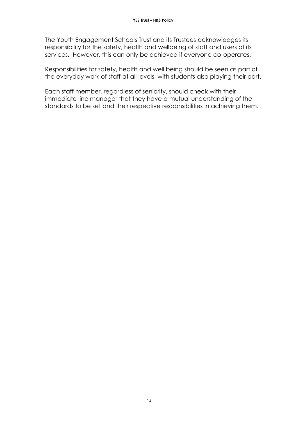The Youth Engagement Schools Trust and its Trustees acknowledges its responsibility for the safety, health and wellbeing of staff and users of its services. However, this can only be achieved if everyone co-operates.

Responsibilities for safety, health and well being should be seen as part of the everyday work of staff at all levels, with students also playing their part.

Each staff member, regardless of seniority, should check with their immediate line manager that they have a mutual understanding of the standards to be set and their respective responsibilities in achieving them.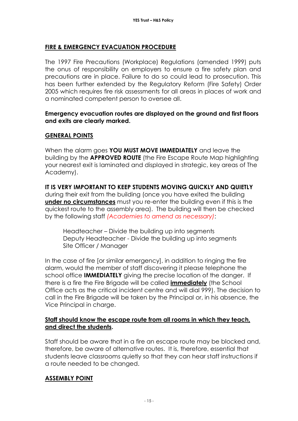#### **FIRE & EMERGENCY EVACUATION PROCEDURE**

The 1997 Fire Precautions (Workplace) Regulations (amended 1999) puts the onus of responsibility on employers to ensure a fire safety plan and precautions are in place. Failure to do so could lead to prosecution. This has been further extended by the Regulatory Reform (Fire Safety) Order 2005 which requires fire risk assessments for all areas in places of work and a nominated competent person to oversee all.

#### **Emergency evacuation routes are displayed on the ground and first floors and exits are clearly marked.**

#### **GENERAL POINTS**

When the alarm goes **YOU MUST MOVE IMMEDIATELY** and leave the building by the **APPROVED ROUTE** (the Fire Escape Route Map highlighting your nearest exit is laminated and displayed in strategic, key areas of The Academy).

**IT IS VERY IMPORTANT TO KEEP STUDENTS MOVING QUICKLY AND QUIETLY** during their exit from the building (once you have exited the building **under no circumstances** must you re-enter the building even if this is the quickest route to the assembly area). The building will then be checked by the following staff *(Academies to amend as necessary)*:

Headteacher – Divide the building up into segments Deputy Headteacher - Divide the building up into segments Site Officer / Manager

In the case of fire [or similar emergency], in addition to ringing the fire alarm, would the member of staff discovering it please telephone the school office **IMMEDIATELY** giving the precise location of the danger. If there is a fire the Fire Brigade will be called **immediately** (the School Office acts as the critical incident centre and will dial 999). The decision to call in the Fire Brigade will be taken by the Principal or, in his absence, the Vice Principal in charge.

#### **Staff should know the escape route from all rooms in which they teach, and direct the students.**

Staff should be aware that in a fire an escape route may be blocked and, therefore, be aware of alternative routes. It is, therefore, essential that students leave classrooms quietly so that they can hear staff instructions if a route needed to be changed.

#### **ASSEMBLY POINT**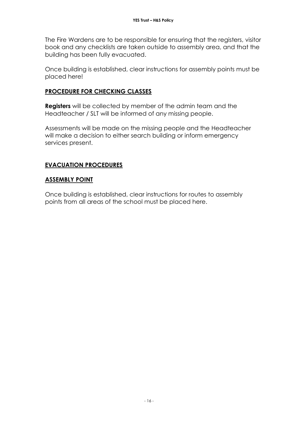The Fire Wardens are to be responsible for ensuring that the registers, visitor book and any checklists are taken outside to assembly area, and that the building has been fully evacuated.

Once building is established, clear instructions for assembly points must be placed here!

#### **PROCEDURE FOR CHECKING CLASSES**

**Registers** will be collected by member of the admin team and the Headteacher / SLT will be informed of any missing people.

Assessments will be made on the missing people and the Headteacher will make a decision to either search building or inform emergency services present.

#### **EVACUATION PROCEDURES**

#### **ASSEMBLY POINT**

Once building is established, clear instructions for routes to assembly points from all areas of the school must be placed here.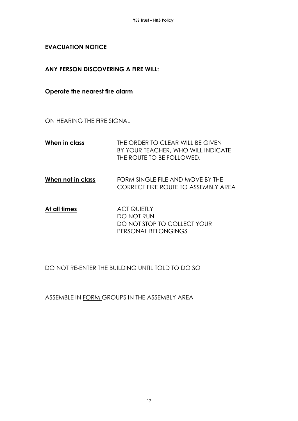#### **EVACUATION NOTICE**

#### **ANY PERSON DISCOVERING A FIRE WILL:**

#### **Operate the nearest fire alarm**

ON HEARING THE FIRE SIGNAL

| When in class | THE ORDER TO CLEAR WILL BE GIVEN   |
|---------------|------------------------------------|
|               | BY YOUR TEACHER, WHO WILL INDICATE |
|               | THE ROUTE TO BE FOLLOWED.          |

- **When not in class** FORM SINGLE FILE AND MOVE BY THE CORRECT FIRE ROUTE TO ASSEMBLY AREA
- **At all times ACT QUIETLY** DO NOT RUN DO NOT STOP TO COLLECT YOUR PERSONAL BELONGINGS

DO NOT RE-ENTER THE BUILDING UNTIL TOLD TO DO SO

ASSEMBLE IN FORM GROUPS IN THE ASSEMBLY AREA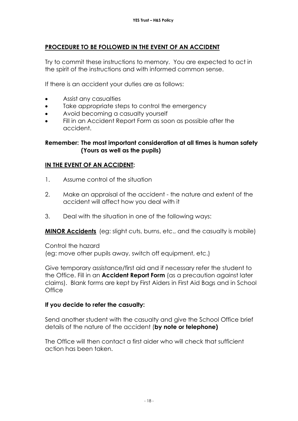#### **PROCEDURE TO BE FOLLOWED IN THE EVENT OF AN ACCIDENT**

Try to commit these instructions to memory. You are expected to act in the spirit of the instructions and with informed common sense.

If there is an accident your duties are as follows:

- Assist any casualties
- Take appropriate steps to control the emergency
- Avoid becoming a casualty yourself
- Fill in an Accident Report Form as soon as possible after the accident.

#### **Remember: The most important consideration at all times is human safety (Yours as well as the pupils)**

#### **IN THE EVENT OF AN ACCIDENT:**

- 1. Assume control of the situation
- 2. Make an appraisal of the accident the nature and extent of the accident will affect how you deal with it
- 3. Deal with the situation in one of the following ways:

**MINOR Accidents** (eg: slight cuts, burns, etc., and the casualty is mobile)

Control the hazard

(eg: move other pupils away, switch off equipment, etc.)

Give temporary assistance/first aid and if necessary refer the student to the Office. Fill in an **Accident Report Form** (as a precaution against later claims). Blank forms are kept by First Aiders in First Aid Bags and in School **Office** 

#### **If you decide to refer the casualty:**

Send another student with the casualty and give the School Office brief details of the nature of the accident (**by note or telephone)**

The Office will then contact a first aider who will check that sufficient action has been taken.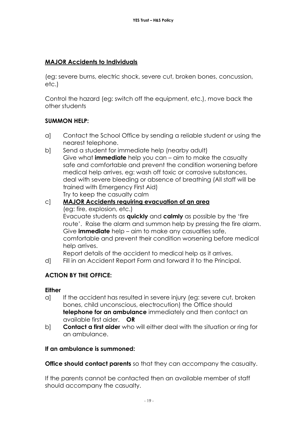#### **MAJOR Accidents to Individuals**

(eg: severe burns, electric shock, severe cut, broken bones, concussion, etc.)

Control the hazard (eg: switch off the equipment, etc.), move back the other students

#### **SUMMON HELP:**

- a] Contact the School Office by sending a reliable student or using the nearest telephone.
- b] Send a student for immediate help (nearby adult) Give what **immediate** help you can – aim to make the casualty safe and comfortable and prevent the condition worsening before medical help arrives, eg: wash off toxic or corrosive substances, deal with severe bleeding or absence of breathing (All staff will be trained with Emergency First Aid) Try to keep the casualty calm

# c] **MAJOR Accidents requiring evacuation of an area**

(eg: fire, explosion, etc.)

Evacuate students as **quickly** and **calmly** as possible by the 'fire route'. Raise the alarm and summon help by pressing the fire alarm. Give **immediate** help – aim to make any casualties safe, comfortable and prevent their condition worsening before medical help arrives.

Report details of the accident to medical help as it arrives.

d] Fill in an Accident Report Form and forward it to the Principal.

#### **ACTION BY THE OFFICE:**

#### **Either**

- a] If the accident has resulted in severe injury (eg: severe cut, broken bones, child unconscious, electrocution) the Office should **telephone for an ambulance** immediately and then contact an available first aider. **OR**
- b] **Contact a first aider** who will either deal with the situation or ring for an ambulance.

#### **If an ambulance is summoned:**

**Office should contact parents** so that they can accompany the casualty.

If the parents cannot be contacted then an available member of staff should accompany the casualty.